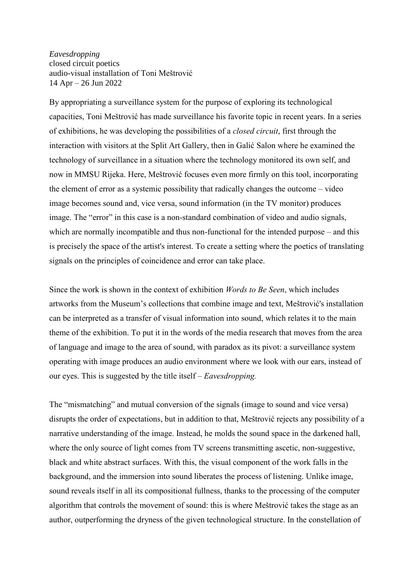*Eavesdropping* closed circuit poetics audio-visual installation of Toni Meštrović 14 Apr – 26 Jun 2022

By appropriating a surveillance system for the purpose of exploring its technological capacities, Toni Meštrović has made surveillance his favorite topic in recent years. In a series of exhibitions, he was developing the possibilities of a *closed circuit*, first through the interaction with visitors at the Split Art Gallery, then in Galić Salon where he examined the technology of surveillance in a situation where the technology monitored its own self, and now in MMSU Rijeka. Here, Meštrović focuses even more firmly on this tool, incorporating the element of error as a systemic possibility that radically changes the outcome – video image becomes sound and, vice versa, sound information (in the TV monitor) produces image. The "error" in this case is a non-standard combination of video and audio signals, which are normally incompatible and thus non-functional for the intended purpose – and this is precisely the space of the artist's interest. To create a setting where the poetics of translating signals on the principles of coincidence and error can take place.

Since the work is shown in the context of exhibition *Words to Be Seen*, which includes artworks from the Museum's collections that combine image and text, Meštrović's installation can be interpreted as a transfer of visual information into sound, which relates it to the main theme of the exhibition. To put it in the words of the media research that moves from the area of language and image to the area of sound, with paradox as its pivot: a surveillance system operating with image produces an audio environment where we look with our ears, instead of our eyes. This is suggested by the title itself – *Eavesdropping.*

The "mismatching" and mutual conversion of the signals (image to sound and vice versa) disrupts the order of expectations, but in addition to that, Meštrović rejects any possibility of a narrative understanding of the image. Instead, he molds the sound space in the darkened hall, where the only source of light comes from TV screens transmitting ascetic, non-suggestive, black and white abstract surfaces. With this, the visual component of the work falls in the background, and the immersion into sound liberates the process of listening. Unlike image, sound reveals itself in all its compositional fullness, thanks to the processing of the computer algorithm that controls the movement of sound: this is where Meštrović takes the stage as an author, outperforming the dryness of the given technological structure. In the constellation of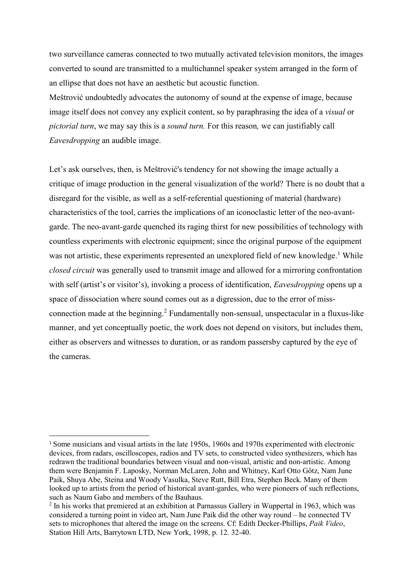two surveillance cameras connected to two mutually activated television monitors, the images converted to sound are transmitted to a multichannel speaker system arranged in the form of an ellipse that does not have an aesthetic but acoustic function.

Meštrović undoubtedly advocates the autonomy of sound at the expense of image, because image itself does not convey any explicit content, so by paraphrasing the idea of a *visual* or *pictorial turn*, we may say this is a *sound turn.* For this reason*,* we can justifiably call *Eavesdropping* an audible image.

Let's ask ourselves, then, is Meštrović's tendency for not showing the image actually a critique of image production in the general visualization of the world? There is no doubt that a disregard for the visible, as well as a self-referential questioning of material (hardware) characteristics of the tool, carries the implications of an iconoclastic letter of the neo-avantgarde. The neo-avant-garde quenched its raging thirst for new possibilities of technology with countless experiments with electronic equipment; since the original purpose of the equipment was not artistic, these experiments represented an unexplored field of new knowledge.<sup>1</sup> While *closed circuit* was generally used to transmit image and allowed for a mirroring confrontation with self (artist's or visitor's), invoking a process of identification, *Eavesdropping* opens up a space of dissociation where sound comes out as a digression, due to the error of missconnection made at the beginning.<sup>2</sup> Fundamentally non-sensual, unspectacular in a fluxus-like manner, and yet conceptually poetic, the work does not depend on visitors, but includes them, either as observers and witnesses to duration, or as random passersby captured by the eye of the cameras.

j

<sup>1</sup> Some musicians and visual artists in the late 1950s, 1960s and 1970s experimented with electronic devices, from radars, oscilloscopes, radios and TV sets, to constructed video synthesizers, which has redrawn the traditional boundaries between visual and non-visual, artistic and non-artistic. Among them were Benjamin F. Laposky, Norman McLaren, John and Whitney, Karl Otto Gőtz, Nam June Paik, Shuya Abe, Steina and Woody Vasulka, Steve Rutt, Bill Etra, Stephen Beck. Many of them looked up to artists from the period of historical avant-gardes, who were pioneers of such reflections, such as Naum Gabo and members of the Bauhaus.

 $2$  In his works that premiered at an exhibition at Parnassus Gallery in Wuppertal in 1963, which was considered a turning point in video art, Nam June Paik did the other way round – he connected TV sets to microphones that altered the image on the screens. Cf: Edith Decker-Phillips, *Paik Video*, Station Hill Arts, Barrytown LTD, New York, 1998, p. 12. 32-40.